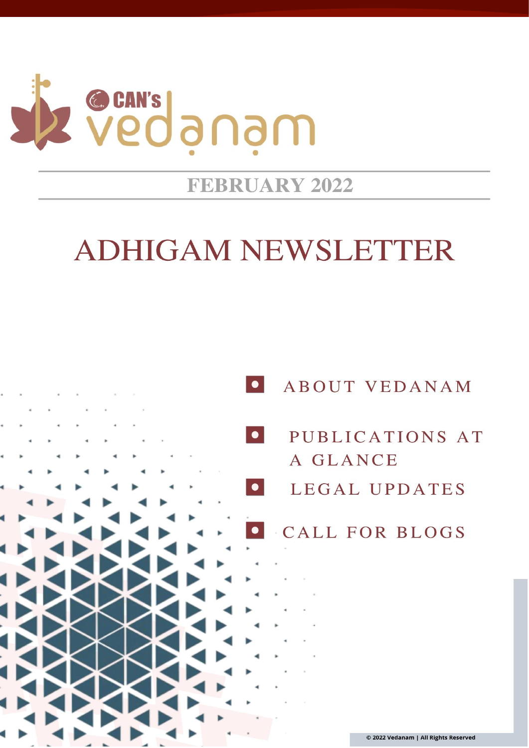

# **FEBRUARY 2022**

# **ADHIGAM NEWSLETTER**

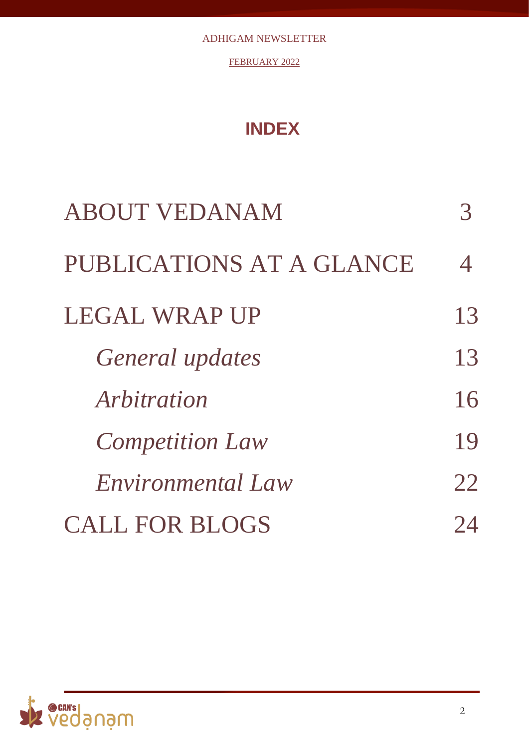FEBRUARY 2022

# **INDEX**

| <b>ABOUT VEDANAM</b>     |    |
|--------------------------|----|
| PUBLICATIONS AT A GLANCE | 4  |
| <b>LEGAL WRAP UP</b>     | 13 |
| General updates          | 13 |
| Arbitration              | 16 |
| <b>Competition Law</b>   | 19 |
| <i>Environmental Law</i> | 22 |
| <b>CALL FOR BLOGS</b>    |    |

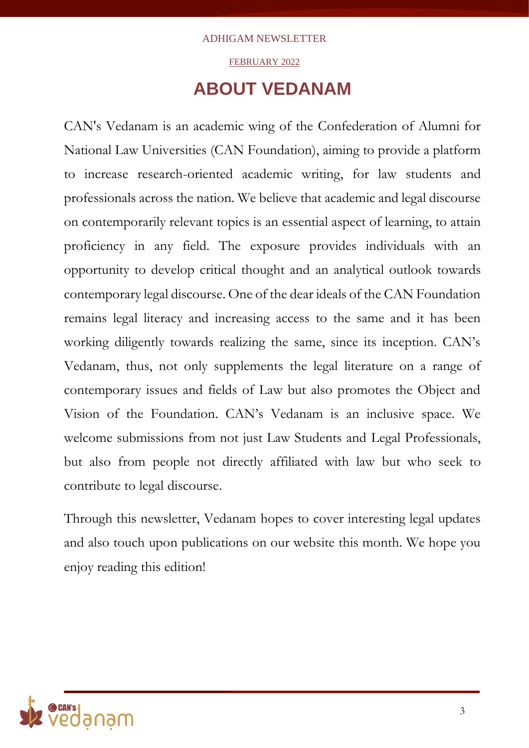### FEBRUARY 2022

## **ABOUT VEDANAM**

CAN's Vedanam is an academic wing of the Confederation of Alumni for National Law Universities (CAN Foundation), aiming to provide a platform to increase research-oriented academic writing, for law students and professionals across the nation. We believe that academic and legal discourse on contemporarily relevant topics is an essential aspect of learning, to attain proficiency in any field. The exposure provides individuals with an opportunity to develop critical thought and an analytical outlook towards contemporary legal discourse. One of the dear ideals of the CAN Foundation remains legal literacy and increasing access to the same and it has been working diligently towards realizing the same, since its inception. CAN's Vedanam, thus, not only supplements the legal literature on a range of contemporary issues and fields of Law but also promotes the Object and Vision of the Foundation. CAN's Vedanam is an inclusive space. We welcome submissions from not just Law Students and Legal Professionals, but also from people not directly affiliated with law but who seek to contribute to legal discourse.

Through this newsletter, Vedanam hopes to cover interesting legal updates and also touch upon publications on our website this month. We hope you enjoy reading this edition!

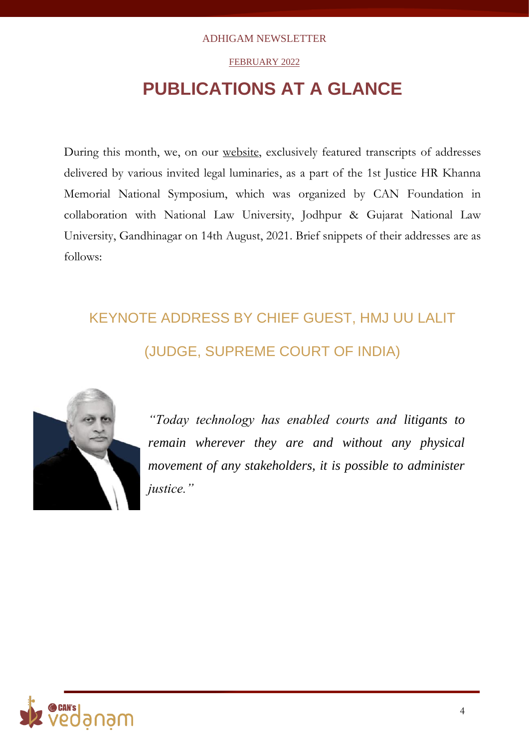### FEBRUARY 2022

# **PUBLICATIONS AT A GLANCE**

During this month, we, on our [website,](http://vedanam.canfoundation.in/index.php) exclusively featured transcripts of addresses delivered by various invited legal luminaries, as a part of the 1st Justice HR Khanna Memorial National Symposium, which was organized by CAN Foundation in collaboration with National Law University, Jodhpur & Gujarat National Law University, Gandhinagar on 14th August, 2021. Brief snippets of their addresses are as follows:

# KEYNOTE ADDRESS BY CHIEF GUEST, HMJ UU LALIT (JUDGE, SUPREME COURT OF INDIA)



*"Today technology has enabled courts and litigants to remain wherever they are and without any physical movement of any stakeholders, it is possible to administer justice."*

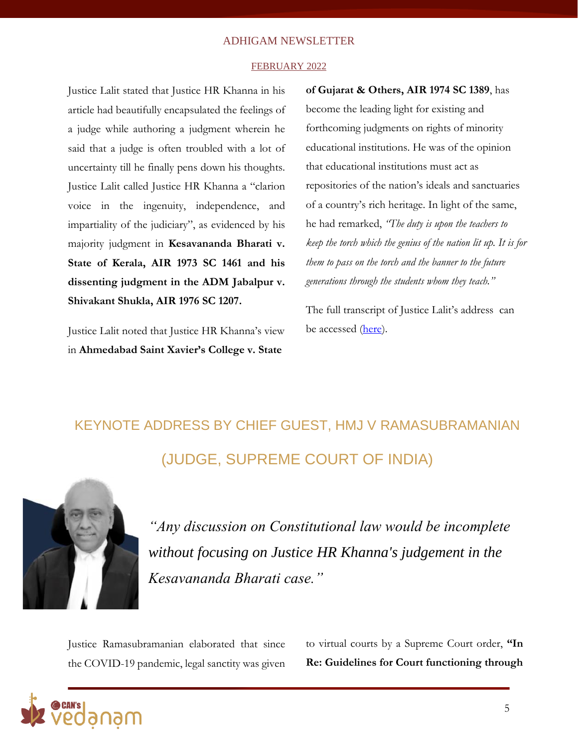#### FEBRUARY 2022

Justice Lalit stated that Justice HR Khanna in his article had beautifully encapsulated the feelings of a judge while authoring a judgment wherein he said that a judge is often troubled with a lot of uncertainty till he finally pens down his thoughts. Justice Lalit called Justice HR Khanna a "clarion voice in the ingenuity, independence, and impartiality of the judiciary", as evidenced by his majority judgment in **Kesavananda Bharati v. State of Kerala, AIR 1973 SC 1461 and his dissenting judgment in the ADM Jabalpur v. Shivakant Shukla, AIR 1976 SC 1207.**

Justice Lalit noted that Justice HR Khanna's view in **Ahmedabad Saint Xavier's College v. State** 

**of Gujarat & Others, AIR 1974 SC 1389**, has become the leading light for existing and forthcoming judgments on rights of minority educational institutions. He was of the opinion that educational institutions must act as repositories of the nation's ideals and sanctuaries of a country's rich heritage. In light of the same, he had remarked, *"The duty is upon the teachers to keep the torch which the genius of the nation lit up. It is for them to pass on the torch and the banner to the future generations through the students whom they teach."*

The full transcript of Justice Lalit's address can be accessed [\(here\)](http://vedanam.canfoundation.in/blog_keynote.php).

# KEYNOTE ADDRESS BY CHIEF GUEST, HMJ V RAMASUBRAMANIAN (JUDGE, SUPREME COURT OF INDIA)



*"Any discussion on Constitutional law would be incomplete without focusing on Justice HR Khanna's judgement in the Kesavananda Bharati case."*

Justice Ramasubramanian elaborated that since the COVID-19 pandemic, legal sanctity was given to virtual courts by a Supreme Court order, **"In Re: Guidelines for Court functioning through** 

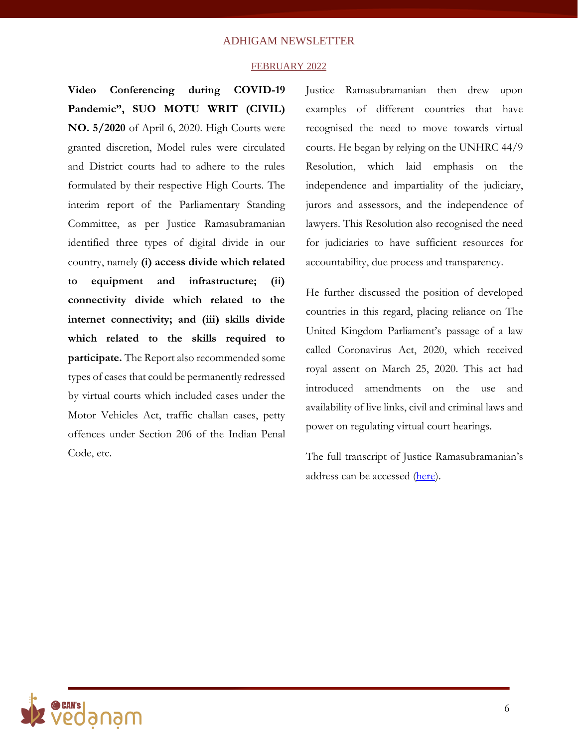#### FEBRUARY 2022

**Video Conferencing during COVID-19 Pandemic", SUO MOTU WRIT (CIVIL) NO. 5/2020** of April 6, 2020. High Courts were granted discretion, Model rules were circulated and District courts had to adhere to the rules formulated by their respective High Courts. The interim report of the Parliamentary Standing Committee, as per Justice Ramasubramanian identified three types of digital divide in our country, namely **(i) access divide which related to equipment and infrastructure; (ii) connectivity divide which related to the internet connectivity; and (iii) skills divide which related to the skills required to participate.** The Report also recommended some types of cases that could be permanently redressed by virtual courts which included cases under the Motor Vehicles Act, traffic challan cases, petty offences under Section 206 of the Indian Penal Code, etc.

Justice Ramasubramanian then drew upon examples of different countries that have recognised the need to move towards virtual courts. He began by relying on the UNHRC 44/9 Resolution, which laid emphasis on the independence and impartiality of the judiciary, jurors and assessors, and the independence of lawyers. This Resolution also recognised the need for judiciaries to have sufficient resources for accountability, due process and transparency.

He further discussed the position of developed countries in this regard, placing reliance on The United Kingdom Parliament's passage of a law called Coronavirus Act, 2020, which received royal assent on March 25, 2020. This act had introduced amendments on the use and availability of live links, civil and criminal laws and power on regulating virtual court hearings.

The full transcript of Justice Ramasubramanian's address can be accessed [\(here\)](http://vedanam.canfoundation.in/blog_justice_hr_khanna.php).

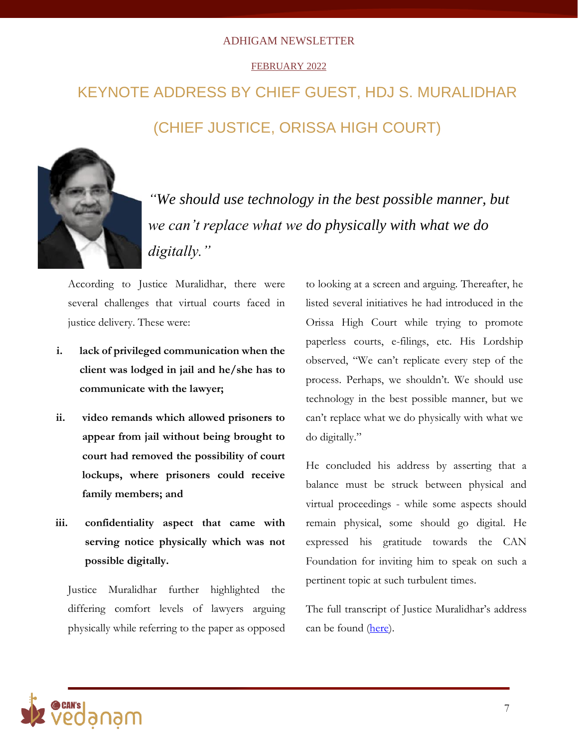### FEBRUARY 2022

# KEYNOTE ADDRESS BY CHIEF GUEST, HDJ S. MURALIDHAR (CHIEF JUSTICE, ORISSA HIGH COURT)



*"We should use technology in the best possible manner, but we can't replace what we do physically with what we do digitally."*

According to Justice Muralidhar, there were several challenges that virtual courts faced in justice delivery. These were:

- **i. lack of privileged communication when the client was lodged in jail and he/she has to communicate with the lawyer;**
- **ii. video remands which allowed prisoners to appear from jail without being brought to court had removed the possibility of court lockups, where prisoners could receive family members; and**
- **iii. confidentiality aspect that came with serving notice physically which was not possible digitally.**

Justice Muralidhar further highlighted the differing comfort levels of lawyers arguing physically while referring to the paper as opposed

to looking at a screen and arguing. Thereafter, he listed several initiatives he had introduced in the Orissa High Court while trying to promote paperless courts, e-filings, etc. His Lordship observed, "We can't replicate every step of the process. Perhaps, we shouldn't. We should use technology in the best possible manner, but we can't replace what we do physically with what we do digitally."

He concluded his address by asserting that a balance must be struck between physical and virtual proceedings - while some aspects should remain physical, some should go digital. He expressed his gratitude towards the CAN Foundation for inviting him to speak on such a pertinent topic at such turbulent times.

The full transcript of Justice Muralidhar's address can be found [\(here\)](http://vedanam.canfoundation.in/blog_justice_muralidhar.php).

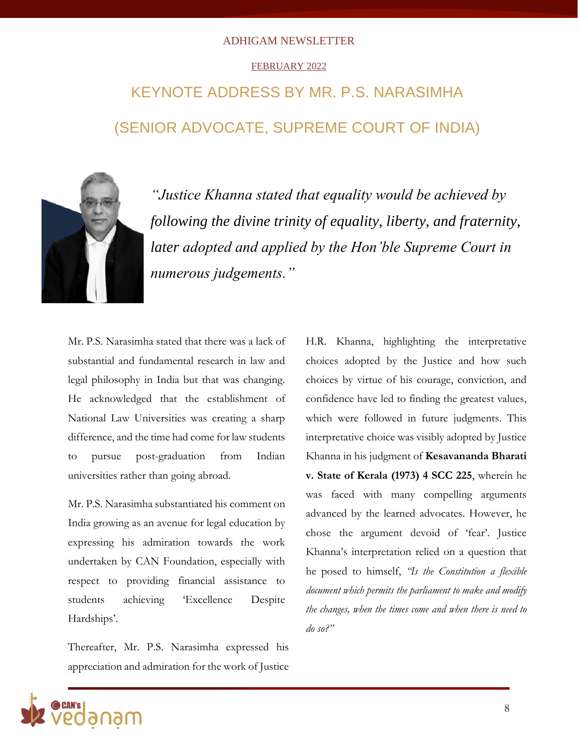### FEBRUARY 2022

# KEYNOTE ADDRESS BY MR. P.S. NARASIMHA (SENIOR ADVOCATE, SUPREME COURT OF INDIA)



*"Justice Khanna stated that equality would be achieved by following the divine trinity of equality, liberty, and fraternity, later adopted and applied by the Hon'ble Supreme Court in numerous judgements."*

Mr. P.S. Narasimha stated that there was a lack of substantial and fundamental research in law and legal philosophy in India but that was changing. He acknowledged that the establishment of National Law Universities was creating a sharp difference, and the time had come for law students to pursue post-graduation from Indian universities rather than going abroad.

Mr. P.S. Narasimha substantiated his comment on India growing as an avenue for legal education by expressing his admiration towards the work undertaken by CAN Foundation, especially with respect to providing financial assistance to students achieving 'Excellence Despite Hardships'.

Thereafter, Mr. P.S. Narasimha expressed his appreciation and admiration for the work of Justice

H.R. Khanna, highlighting the interpretative choices adopted by the Justice and how such choices by virtue of his courage, conviction, and confidence have led to finding the greatest values, which were followed in future judgments. This interpretative choice was visibly adopted by Justice Khanna in his judgment of **Kesavananda Bharati v. State of Kerala (1973) 4 SCC 225**, wherein he was faced with many compelling arguments advanced by the learned advocates. However, he chose the argument devoid of 'fear'. Justice Khanna's interpretation relied on a question that he posed to himself, *"Is the Constitution a flexible document which permits the parliament to make and modify the changes, when the times come and when there is need to do so?"*

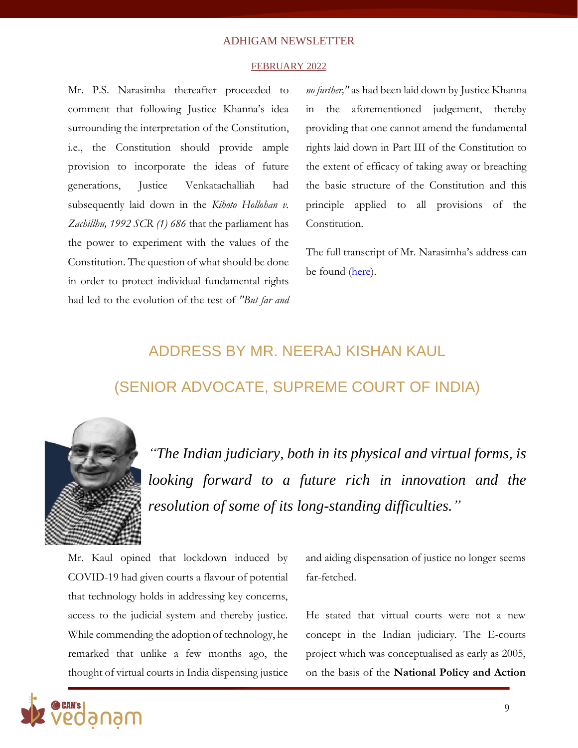#### FEBRUARY 2022

Mr. P.S. Narasimha thereafter proceeded to comment that following Justice Khanna's idea surrounding the interpretation of the Constitution, i.e., the Constitution should provide ample provision to incorporate the ideas of future generations, Justice Venkatachalliah had subsequently laid down in the *Kihoto Hollohan v. Zachillhu, 1992 SCR (1) 686* that the parliament has the power to experiment with the values of the Constitution. The question of what should be done in order to protect individual fundamental rights had led to the evolution of the test of *"But far and* 

*no further,"* as had been laid down by Justice Khanna in the aforementioned judgement, thereby providing that one cannot amend the fundamental rights laid down in Part III of the Constitution to the extent of efficacy of taking away or breaching the basic structure of the Constitution and this principle applied to all provisions of the Constitution.

The full transcript of Mr. Narasimha's address can be found [\(here\)](http://vedanam.canfoundation.in/blog_justice_hr_khanna_memorial.php).

# ADDRESS BY MR. NEERAJ KISHAN KAUL (SENIOR ADVOCATE, SUPREME COURT OF INDIA)



*"The Indian judiciary, both in its physical and virtual forms, is looking forward to a future rich in innovation and the resolution of some of its long-standing difficulties."*

Mr. Kaul opined that lockdown induced by COVID-19 had given courts a flavour of potential that technology holds in addressing key concerns, access to the judicial system and thereby justice. While commending the adoption of technology, he remarked that unlike a few months ago, the thought of virtual courts in India dispensing justice

and aiding dispensation of justice no longer seems far-fetched.

He stated that virtual courts were not a new concept in the Indian judiciary. The E-courts project which was conceptualised as early as 2005, on the basis of the **National Policy and Action** 

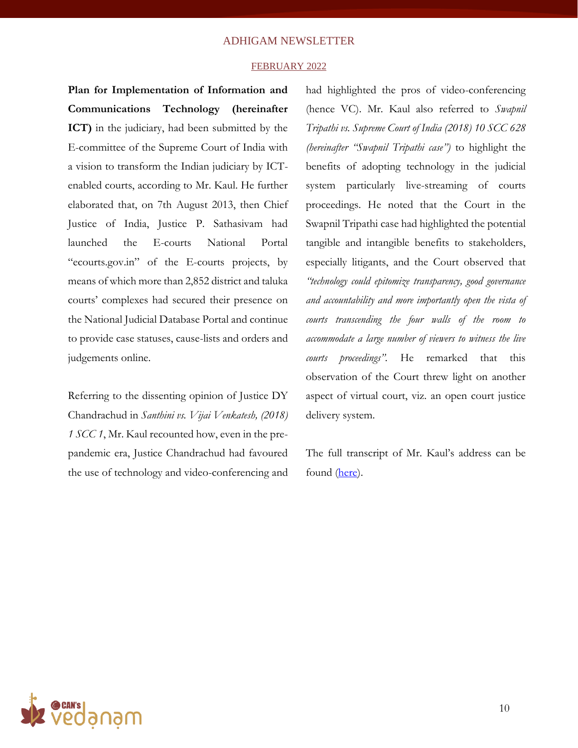#### FEBRUARY 2022

**Plan for Implementation of Information and Communications Technology (hereinafter ICT)** in the judiciary, had been submitted by the E-committee of the Supreme Court of India with a vision to transform the Indian judiciary by ICTenabled courts, according to Mr. Kaul. He further elaborated that, on 7th August 2013, then Chief Justice of India, Justice P. Sathasivam had launched the E-courts National Portal "ecourts.gov.in" of the E-courts projects, by means of which more than 2,852 district and taluka courts' complexes had secured their presence on the National Judicial Database Portal and continue to provide case statuses, cause-lists and orders and judgements online.

Referring to the dissenting opinion of Justice DY Chandrachud in *Santhini vs. Vijai Venkatesh, (2018) 1 SCC 1*, Mr. Kaul recounted how, even in the prepandemic era, Justice Chandrachud had favoured the use of technology and video-conferencing and had highlighted the pros of video-conferencing (hence VC). Mr. Kaul also referred to *Swapnil Tripathi vs. Supreme Court of India (2018) 10 SCC 628 (hereinafter "Swapnil Tripathi case")* to highlight the benefits of adopting technology in the judicial system particularly live-streaming of courts proceedings. He noted that the Court in the Swapnil Tripathi case had highlighted the potential tangible and intangible benefits to stakeholders, especially litigants, and the Court observed that *"technology could epitomize transparency, good governance and accountability and more importantly open the vista of courts transcending the four walls of the room to accommodate a large number of viewers to witness the live courts proceedings".* He remarked that this observation of the Court threw light on another aspect of virtual court, viz. an open court justice delivery system.

The full transcript of Mr. Kaul's address can be found [\(here\)](http://vedanam.canfoundation.in/blog_neeraj_kaul.php).

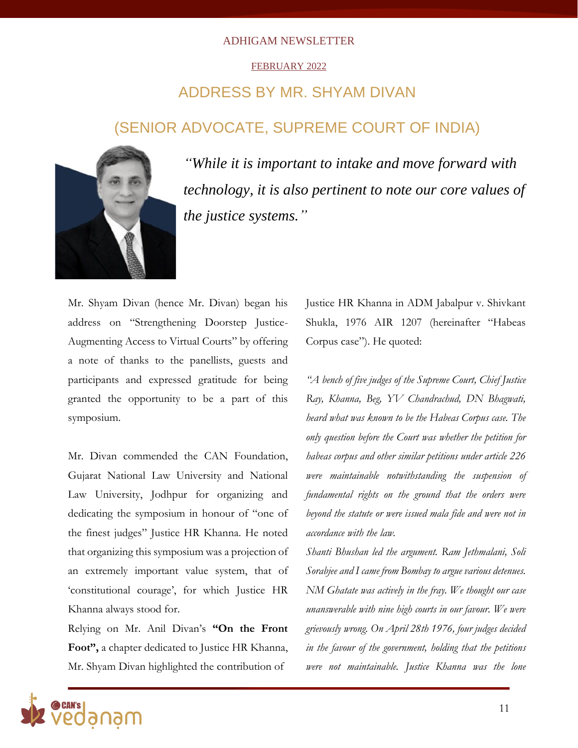### FEBRUARY 2022

## ADDRESS BY MR. SHYAM DIVAN

### (SENIOR ADVOCATE, SUPREME COURT OF INDIA)



*"While it is important to intake and move forward with technology, it is also pertinent to note our core values of the justice systems."*

Mr. Shyam Divan (hence Mr. Divan) began his address on "Strengthening Doorstep Justice-Augmenting Access to Virtual Courts" by offering a note of thanks to the panellists, guests and participants and expressed gratitude for being granted the opportunity to be a part of this symposium.

Mr. Divan commended the CAN Foundation, Gujarat National Law University and National Law University, Jodhpur for organizing and dedicating the symposium in honour of "one of the finest judges" Justice HR Khanna. He noted that organizing this symposium was a projection of an extremely important value system, that of 'constitutional courage', for which Justice HR Khanna always stood for.

Relying on Mr. Anil Divan's **"On the Front Foot",** a chapter dedicated to Justice HR Khanna, Mr. Shyam Divan highlighted the contribution of

Justice HR Khanna in ADM Jabalpur v. Shivkant Shukla, 1976 AIR 1207 (hereinafter "Habeas Corpus case"). He quoted:

*"A bench of five judges of the Supreme Court, Chief Justice Ray, Khanna, Beg, YV Chandrachud, DN Bhagwati, heard what was known to be the Habeas Corpus case. The only question before the Court was whether the petition for habeas corpus and other similar petitions under article 226 were maintainable notwithstanding the suspension of fundamental rights on the ground that the orders were beyond the statute or were issued mala fide and were not in accordance with the law.*

*Shanti Bhushan led the argument. Ram Jethmalani, Soli Sorabjee and I came from Bombay to argue various detenues. NM Ghatate was actively in the fray. We thought our case unanswerable with nine high courts in our favour. We were grievously wrong. On April 28th 1976, four judges decided in the favour of the government, holding that the petitions were not maintainable. Justice Khanna was the lone* 

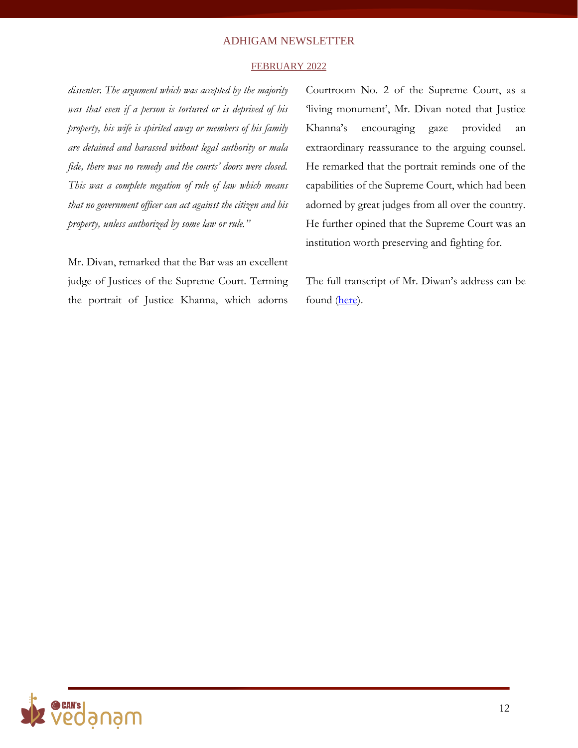#### FEBRUARY 2022

*dissenter. The argument which was accepted by the majority was that even if a person is tortured or is deprived of his property, his wife is spirited away or members of his family are detained and harassed without legal authority or mala fide, there was no remedy and the courts' doors were closed. This was a complete negation of rule of law which means that no government officer can act against the citizen and his property, unless authorized by some law or rule."*

Mr. Divan, remarked that the Bar was an excellent judge of Justices of the Supreme Court. Terming the portrait of Justice Khanna, which adorns

Courtroom No. 2 of the Supreme Court, as a 'living monument', Mr. Divan noted that Justice Khanna's encouraging gaze provided an extraordinary reassurance to the arguing counsel. He remarked that the portrait reminds one of the capabilities of the Supreme Court, which had been adorned by great judges from all over the country. He further opined that the Supreme Court was an institution worth preserving and fighting for.

The full transcript of Mr. Diwan's address can be found [\(here\)](http://vedanam.canfoundation.in/blog_shyam_divan.php).

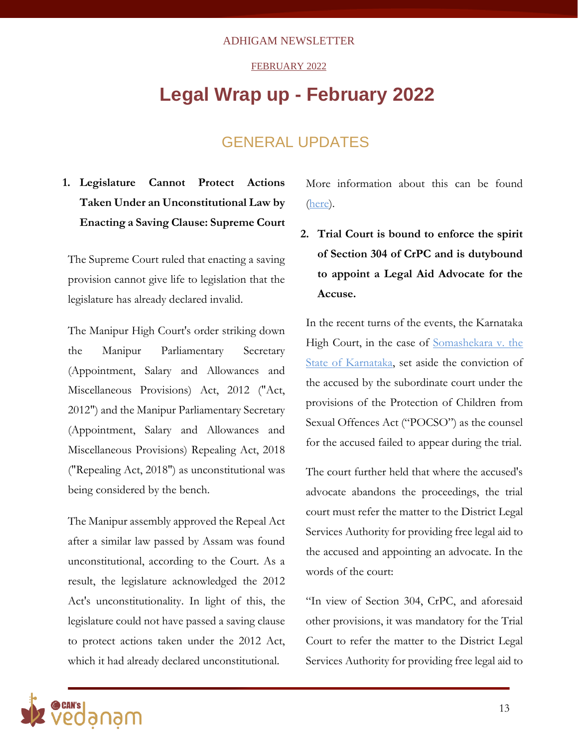### FEBRUARY 2022

# **Legal Wrap up - February 2022**

### GENERAL UPDATES

### **1. Legislature Cannot Protect Actions Taken Under an Unconstitutional Law by Enacting a Saving Clause: Supreme Court**

The Supreme Court ruled that enacting a saving provision cannot give life to legislation that the legislature has already declared invalid.

The Manipur High Court's order striking down the Manipur Parliamentary Secretary (Appointment, Salary and Allowances and Miscellaneous Provisions) Act, 2012 ("Act, 2012") and the Manipur Parliamentary Secretary (Appointment, Salary and Allowances and Miscellaneous Provisions) Repealing Act, 2018 ("Repealing Act, 2018") as unconstitutional was being considered by the bench.

The Manipur assembly approved the Repeal Act after a similar law passed by Assam was found unconstitutional, according to the Court. As a result, the legislature acknowledged the 2012 Act's unconstitutionality. In light of this, the legislature could not have passed a saving clause to protect actions taken under the 2012 Act, which it had already declared unconstitutional.

More information about this can be found [\(here\)](https://thelawcommunicants.com/unconstitutional-law/).

**2. Trial Court is bound to enforce the spirit of Section 304 of CrPC and is dutybound to appoint a Legal Aid Advocate for the Accuse.**

In the recent turns of the events, the Karnataka High Court, in the case of [Somashekara v. the](https://www.livelaw.in/pdf_upload/somashekara-soma-v-state-of-karnataka-409866.pdf)  [State of Karnataka,](https://www.livelaw.in/pdf_upload/somashekara-soma-v-state-of-karnataka-409866.pdf) set aside the conviction of the accused by the subordinate court under the provisions of the Protection of Children from Sexual Offences Act ("POCSO") as the counsel for the accused failed to appear during the trial.

The court further held that where the accused's advocate abandons the proceedings, the trial court must refer the matter to the District Legal Services Authority for providing free legal aid to the accused and appointing an advocate. In the words of the court:

"In view of Section 304, CrPC, and aforesaid other provisions, it was mandatory for the Trial Court to refer the matter to the District Legal Services Authority for providing free legal aid to

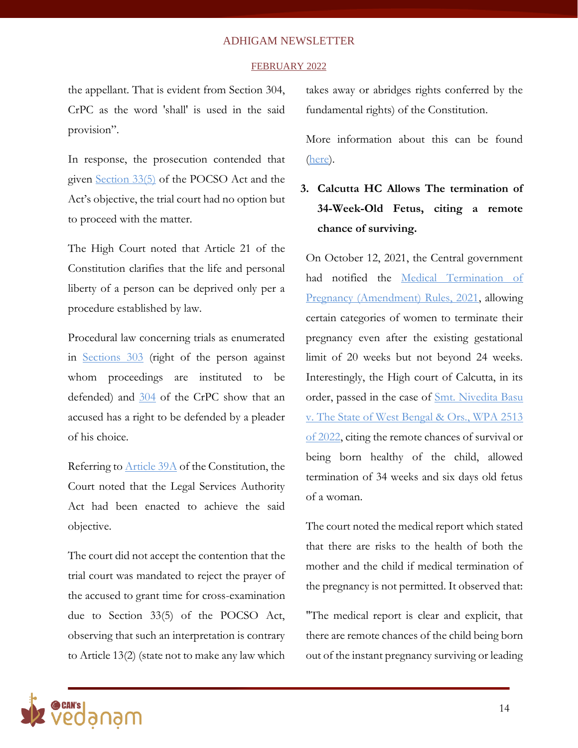#### FEBRUARY 2022

the appellant. That is evident from Section 304, CrPC as the word 'shall' is used in the said provision".

In response, the prosecution contended that given [Section 33\(5\)](https://www.aaptaxlaw.com/pocso-act/33-pocso-act-procedure-and-powers-of-special-court-section-33-of-pocso-act-2012.html) of the POCSO Act and the Act's objective, the trial court had no option but to proceed with the matter.

The High Court noted that Article 21 of the Constitution clarifies that the life and personal liberty of a person can be deprived only per a procedure established by law.

Procedural law concerning trials as enumerated in [Sections 303](https://devgan.in/ipc/section/303/) (right of the person against whom proceedings are instituted to be defended) and [304](https://devgan.in/crpc/section/304/) of the CrPC show that an accused has a right to be defended by a pleader of his choice.

Referring to [Article 39A](https://doj.gov.in/sites/default/files/NALSA%20BRIEF.pdf) of the Constitution, the Court noted that the Legal Services Authority Act had been enacted to achieve the said objective.

The court did not accept the contention that the trial court was mandated to reject the prayer of the accused to grant time for cross-examination due to Section 33(5) of the POCSO Act, observing that such an interpretation is contrary to Article 13(2) (state not to make any law which

takes away or abridges rights conferred by the fundamental rights) of the Constitution.

More information about this can be found [\(here\)](https://www.livelaw.in/news-updates/karnataka-high-court-advocate-representing-accused-fails-to-appear-trial-court-legal-aid-advocate-192108).

### **3. Calcutta HC Allows The termination of 34-Week-Old Fetus, citing a remote chance of surviving.**

On October 12, 2021, the Central government had notified the [Medical Termination of](https://egazette.nic.in/WriteReadData/2021/226130.pdf)  [Pregnancy \(Amendment\) Rules, 2021,](https://egazette.nic.in/WriteReadData/2021/226130.pdf) allowing certain categories of women to terminate their pregnancy even after the existing gestational limit of 20 weeks but not beyond 24 weeks. Interestingly, the High court of Calcutta, in its order, passed in the case of [Smt. Nivedita Basu](https://www.livelaw.in/pdf_upload/nivedita-basu-v-state-of-west-bengal--409989.pdf)  [v. The State of West Bengal & Ors., WPA 2513](https://www.livelaw.in/pdf_upload/nivedita-basu-v-state-of-west-bengal--409989.pdf)  [of 2022,](https://www.livelaw.in/pdf_upload/nivedita-basu-v-state-of-west-bengal--409989.pdf) citing the remote chances of survival or being born healthy of the child, allowed termination of 34 weeks and six days old fetus of a woman.

The court noted the medical report which stated that there are risks to the health of both the mother and the child if medical termination of the pregnancy is not permitted. It observed that:

"The medical report is clear and explicit, that there are remote chances of the child being born out of the instant pregnancy surviving or leading

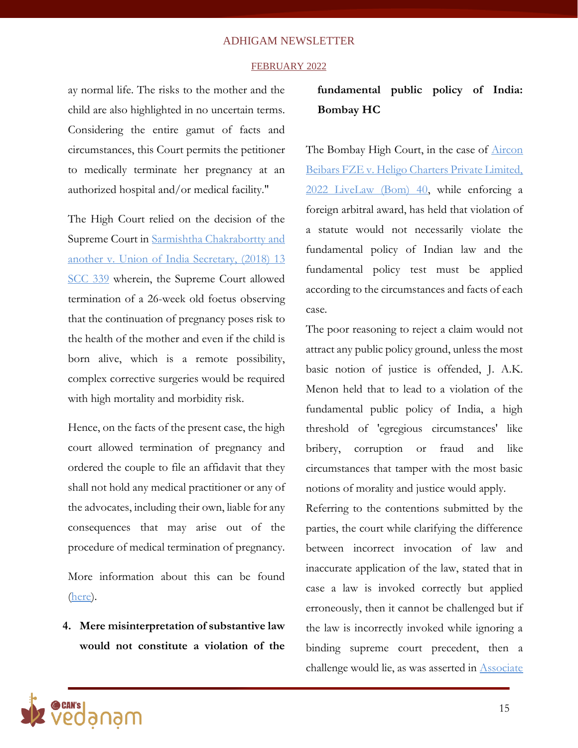#### FEBRUARY 2022

ay normal life. The risks to the mother and the child are also highlighted in no uncertain terms. Considering the entire gamut of facts and circumstances, this Court permits the petitioner to medically terminate her pregnancy at an authorized hospital and/or medical facility."

The High Court relied on the decision of the Supreme Court in [Sarmishtha Chakrabortty and](https://indiankanoon.org/doc/126166381/)  [another v. Union of India Secretary,](https://indiankanoon.org/doc/126166381/) (2018) 13 [SCC 339](https://indiankanoon.org/doc/126166381/) wherein, the Supreme Court allowed termination of a 26-week old foetus observing that the continuation of pregnancy poses risk to the health of the mother and even if the child is born alive, which is a remote possibility, complex corrective surgeries would be required with high mortality and morbidity risk.

Hence, on the facts of the present case, the high court allowed termination of pregnancy and ordered the couple to file an affidavit that they shall not hold any medical practitioner or any of the advocates, including their own, liable for any consequences that may arise out of the procedure of medical termination of pregnancy.

More information about this can be found [\(here\)](https://timesofindia.indiatimes.com/india/calcutta-hc-allows-abortion-at-34-weeks/articleshow/89651923.cms#:~:text=KOLKATA%3A%20The%20Calcutta%20high%20court,spina%20bifada%2C%20an%20incurable%20disorder.).

**4. Mere misinterpretation of substantive law would not constitute a violation of the** 

### **fundamental public policy of India: Bombay HC**

The Bombay High Court, in the case of **Aircon** [Beibars FZE v. Heligo Charters Private Limited,](https://www.livelaw.in/pdf_upload/aircon-beibars-fze-vsheligo-charters-private-limited-410072.pdf)  [2022 LiveLaw \(Bom\) 40,](https://www.livelaw.in/pdf_upload/aircon-beibars-fze-vsheligo-charters-private-limited-410072.pdf) while enforcing a foreign arbitral award, has held that violation of a statute would not necessarily violate the fundamental policy of Indian law and the fundamental policy test must be applied according to the circumstances and facts of each case.

The poor reasoning to reject a claim would not attract any public policy ground, unless the most basic notion of justice is offended, J. A.K. Menon held that to lead to a violation of the fundamental public policy of India, a high threshold of 'egregious circumstances' like bribery, corruption or fraud and like circumstances that tamper with the most basic notions of morality and justice would apply.

Referring to the contentions submitted by the parties, the court while clarifying the difference between incorrect invocation of law and inaccurate application of the law, stated that in case a law is invoked correctly but applied erroneously, then it cannot be challenged but if the law is incorrectly invoked while ignoring a binding supreme court precedent, then a challenge would lie, as was asserted in [Associate](https://main.sci.gov.in/jonew/judis/42114.pdf)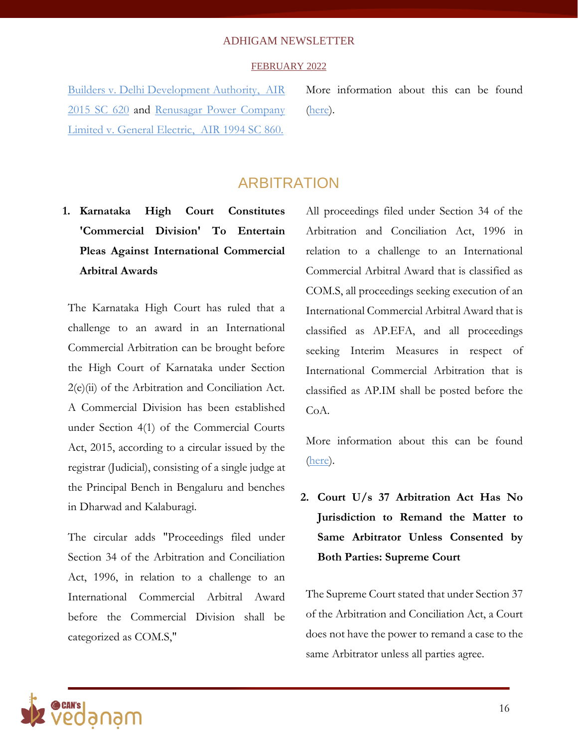### FEBRUARY 2022

[Builders v. Delhi Development Authority,](https://main.sci.gov.in/jonew/judis/42114.pdf) AIR 2015 SC 620 and [Renusagar Power Company](https://main.sci.gov.in/judgment/judis/11863.pdf)  [Limited v. General Electric,](https://main.sci.gov.in/judgment/judis/11863.pdf) AIR 1994 SC 86[0.](https://main.sci.gov.in/judgment/judis/11863.pdf)

More information about this can be found [\(here\)](https://www.livelaw.in/news-updates/bombay-high-court-foreign-arbitral-award-public-policy-exception-to-be-narrowly-construed-192323).

### ARBITRATION

**1. Karnataka High Court Constitutes 'Commercial Division' To Entertain Pleas Against International Commercial Arbitral Awards**

The Karnataka High Court has ruled that a challenge to an award in an International Commercial Arbitration can be brought before the High Court of Karnataka under Section 2(e)(ii) of the Arbitration and Conciliation Act. A Commercial Division has been established under Section 4(1) of the Commercial Courts Act, 2015, according to a circular issued by the registrar (Judicial), consisting of a single judge at the Principal Bench in Bengaluru and benches in Dharwad and Kalaburagi.

The circular adds "Proceedings filed under Section 34 of the Arbitration and Conciliation Act, 1996, in relation to a challenge to an International Commercial Arbitral Award before the Commercial Division shall be categorized as COM.S,"

All proceedings filed under Section 34 of the Arbitration and Conciliation Act, 1996 in relation to a challenge to an International Commercial Arbitral Award that is classified as COM.S, all proceedings seeking execution of an International Commercial Arbitral Award that is classified as AP.EFA, and all proceedings seeking Interim Measures in respect of International Commercial Arbitration that is classified as AP.IM shall be posted before the CoA.

More information about this can be found [\(here\)](https://www.barandbench.com/news/foreign-arbitral-award-overseas-parties-enforced-indian-court-when-property-within-territory-karnataka-high-court).

**2. Court U/s 37 Arbitration Act Has No Jurisdiction to Remand the Matter to Same Arbitrator Unless Consented by Both Parties: Supreme Court**

The Supreme Court stated that under Section 37 of the Arbitration and Conciliation Act, a Court does not have the power to remand a case to the same Arbitrator unless all parties agree.

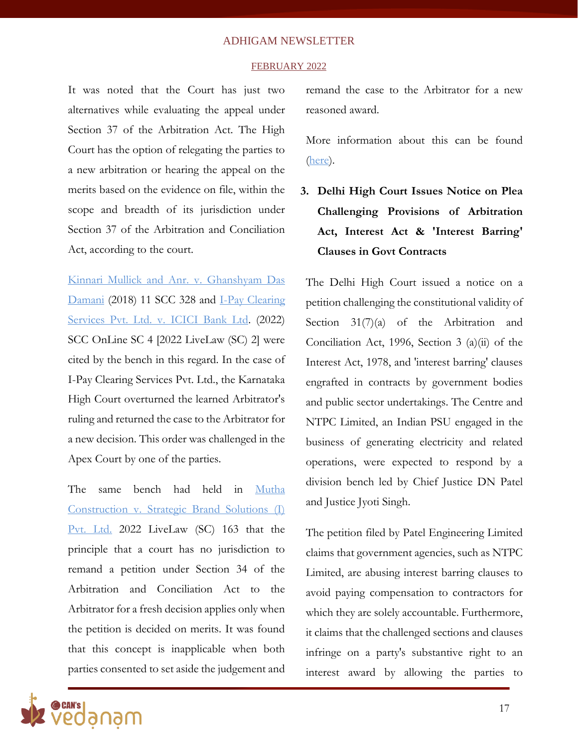#### FEBRUARY 2022

It was noted that the Court has just two alternatives while evaluating the appeal under Section 37 of the Arbitration Act. The High Court has the option of relegating the parties to a new arbitration or hearing the appeal on the merits based on the evidence on file, within the scope and breadth of its jurisdiction under Section 37 of the Arbitration and Conciliation Act, according to the court.

[Kinnari Mullick and Anr. v. Ghanshyam Das](https://main.sci.gov.in/jonew/bosir/orderpdf/2894656.pdf)  [Damani](https://main.sci.gov.in/jonew/bosir/orderpdf/2894656.pdf) (2018) 11 SCC 328 and [I](https://www.livelaw.in/pdf_upload/i-pay-clearing-services-private-limited-vs-icici-bank-limited-2022-livelaw-sc-2-1-406906.pdf)-Pay Clearing [Services Pvt. Ltd. v. ICICI Bank Ltd.](https://www.livelaw.in/pdf_upload/i-pay-clearing-services-private-limited-vs-icici-bank-limited-2022-livelaw-sc-2-1-406906.pdf) (2022) SCC OnLine SC 4 [2022 LiveLaw (SC) 2] were cited by the bench in this regard. In the case of I-Pay Clearing Services Pvt. Ltd., the Karnataka High Court overturned the learned Arbitrator's ruling and returned the case to the Arbitrator for a new decision. This order was challenged in the Apex Court by one of the parties.

The same bench had held in [Mutha](https://main.sci.gov.in/supremecourt/2022/2290/2290_2022_42_26_33144_Order_04-Feb-2022.pdf)  Construction v. [Strategic Brand Solutions \(I\)](https://main.sci.gov.in/supremecourt/2022/2290/2290_2022_42_26_33144_Order_04-Feb-2022.pdf)  [Pvt. Ltd.](https://main.sci.gov.in/supremecourt/2022/2290/2290_2022_42_26_33144_Order_04-Feb-2022.pdf) 2022 LiveLaw (SC) 163 that the principle that a court has no jurisdiction to remand a petition under Section 34 of the Arbitration and Conciliation Act to the Arbitrator for a fresh decision applies only when the petition is decided on merits. It was found that this concept is inapplicable when both parties consented to set aside the judgement and

remand the case to the Arbitrator for a new reasoned award.

More information about this can be found [\(here\)](https://lawtrend.in/section-37-arbitration-act-when-court-can-remand-a-matter-to-the-same-arbitrator-explains-supreme-court/).

### **3. Delhi High Court Issues Notice on Plea Challenging Provisions of Arbitration Act, Interest Act & 'Interest Barring' Clauses in Govt Contracts**

The Delhi High Court issued a notice on a petition challenging the constitutional validity of Section 31(7)(a) of the Arbitration and Conciliation Act, 1996, Section 3 (a)(ii) of the Interest Act, 1978, and 'interest barring' clauses engrafted in contracts by government bodies and public sector undertakings. The Centre and NTPC Limited, an Indian PSU engaged in the business of generating electricity and related operations, were expected to respond by a division bench led by Chief Justice DN Patel and Justice Jyoti Singh.

The petition filed by Patel Engineering Limited claims that government agencies, such as NTPC Limited, are abusing interest barring clauses to avoid paying compensation to contractors for which they are solely accountable. Furthermore, it claims that the challenged sections and clauses infringe on a party's substantive right to an interest award by allowing the parties to

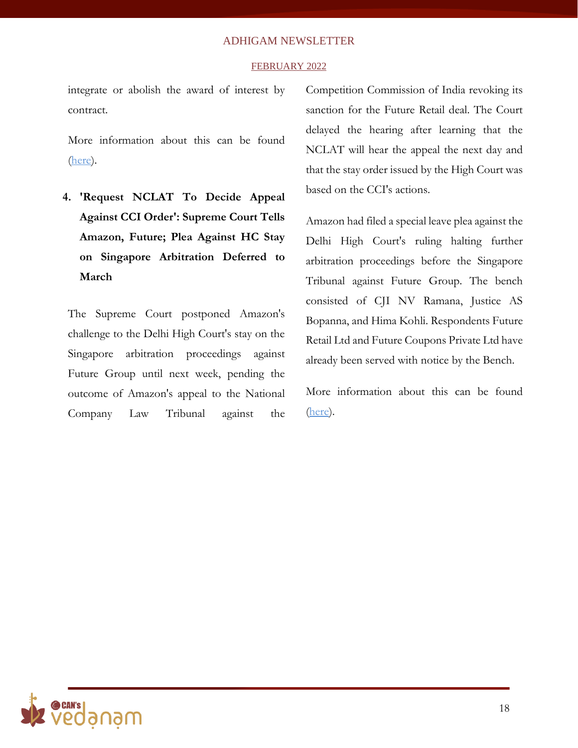### FEBRUARY 2022

integrate or abolish the award of interest by contract.

More information about this can be found [\(here\)](https://www.livelaw.in/news-updates/delhi-high-court-arbitration-act-interest-act-interest-barring-clauses-govt-contracts-192691).

**4. 'Request NCLAT To Decide Appeal Against CCI Order': Supreme Court Tells Amazon, Future; Plea Against HC Stay on Singapore Arbitration Deferred to March**

The Supreme Court postponed Amazon's challenge to the Delhi High Court's stay on the Singapore arbitration proceedings against Future Group until next week, pending the outcome of Amazon's appeal to the National Company Law Tribunal against the

Competition Commission of India revoking its sanction for the Future Retail deal. The Court delayed the hearing after learning that the NCLAT will hear the appeal the next day and that the stay order issued by the High Court was based on the CCI's actions.

Amazon had filed a special leave plea against the Delhi High Court's ruling halting further arbitration proceedings before the Singapore Tribunal against Future Group. The bench consisted of CJI NV Ramana, Justice AS Bopanna, and Hima Kohli. Respondents Future Retail Ltd and Future Coupons Private Ltd have already been served with notice by the Bench.

More information about this can be found [\(here\)](https://www.businesstoday.in/latest/corporate/story/sc-asks-amazon-future-to-urge-nclat-to-decide-on-plea-against-cci-order-323619-2022-02-23).

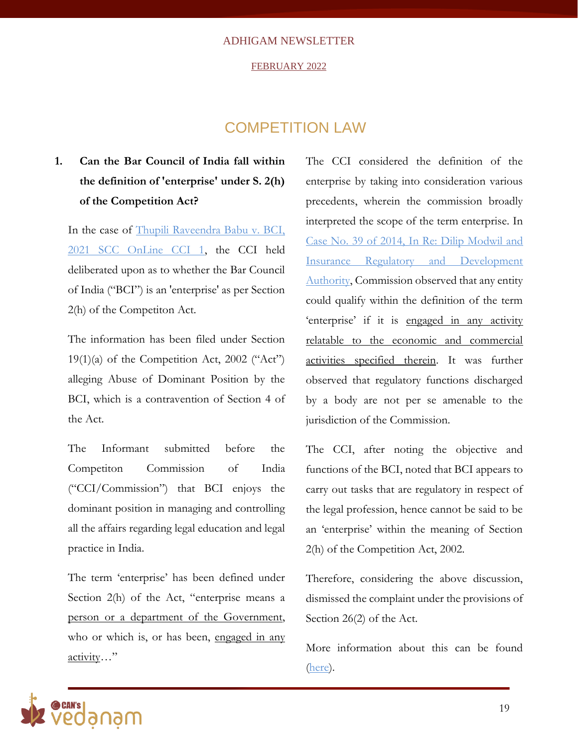#### FEBRUARY 2022

### COMPETITION LAW

### **1. Can the Bar Council of India fall within the definition of 'enterprise' under S. 2(h) of the Competition Act?**

In the case of [Thupili Raveendra Babu v. BCI,](https://indiankanoon.org/doc/118313373/)  [2021 SCC OnLine CCI 1,](https://indiankanoon.org/doc/118313373/) the CCI held deliberated upon as to whether the Bar Council of India ("BCI") is an 'enterprise' as per Section 2(h) of the Competiton Act.

The information has been filed under Section  $19(1)(a)$  of the Competition Act, 2002 ("Act") alleging Abuse of Dominant Position by the BCI, which is a contravention of Section 4 of the Act.

The Informant submitted before the Competiton Commission of India ("CCI/Commission") that BCI enjoys the dominant position in managing and controlling all the affairs regarding legal education and legal practice in India.

The term 'enterprise' has been defined under Section 2(h) of the Act, "enterprise means a person or a department of the Government, who or which is, or has been, engaged in any activity…"

The CCI considered the definition of the enterprise by taking into consideration various precedents, wherein the commission broadly interpreted the scope of the term enterprise. In [Case No. 39 of 2014, In Re: Dilip Modwil and](https://www.cci.gov.in/sites/default/files/392014.pdf)  [Insurance Regulatory and Development](https://www.cci.gov.in/sites/default/files/392014.pdf)  [Authority,](https://www.cci.gov.in/sites/default/files/392014.pdf) Commission observed that any entity could qualify within the definition of the term 'enterprise' if it is engaged in any activity relatable to the economic and commercial activities specified therein. It was further observed that regulatory functions discharged by a body are not per se amenable to the jurisdiction of the Commission.

The CCI, after noting the objective and functions of the BCI, noted that BCI appears to carry out tasks that are regulatory in respect of the legal profession, hence cannot be said to be an 'enterprise' within the meaning of Section 2(h) of the Competition Act, 2002.

Therefore, considering the above discussion, dismissed the complaint under the provisions of Section 26(2) of the Act.

More information about this can be found [\(here\)](https://www.scconline.com/blog/post/2021/02/02/cci-can-bci-be-covered-under-the-ambit-of-an-enterprise-under-s-2h-of-competition-act-read-why-it-was-asserted-that-bci-misused-its-dominant-position/#:~:text=Commission%20on%20going%20through%20the,of%20the%20Competition%20Act%2C%202002.).

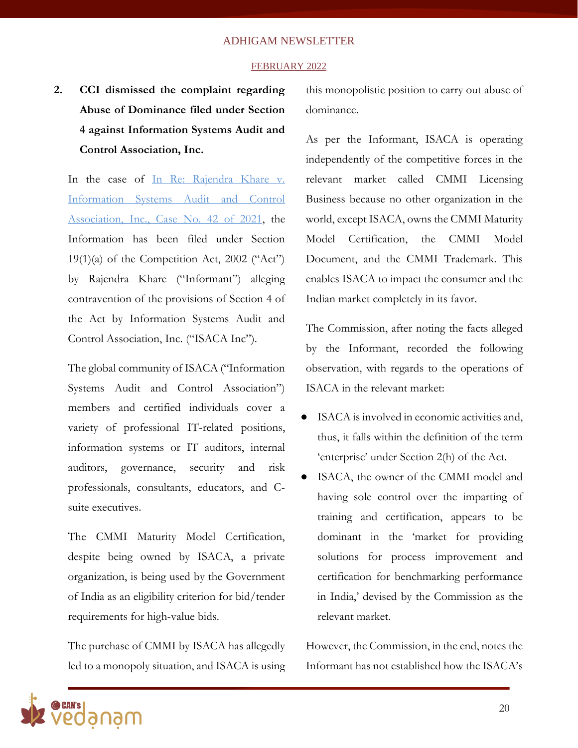#### FEBRUARY 2022

**2. CCI dismissed the complaint regarding Abuse of Dominance filed under Section 4 against Information Systems Audit and Control Association, Inc.**

In the case of In Re: Rajendra Khare v. [Information Systems Audit and Control](https://www.cci.gov.in/sites/default/files/42-of-2021.pdf)  [Association, Inc., Case No. 42 of 2021,](https://www.cci.gov.in/sites/default/files/42-of-2021.pdf) the Information has been filed under Section  $19(1)(a)$  of the Competition Act, 2002 ("Act") by Rajendra Khare ("Informant") alleging contravention of the provisions of Section 4 of the Act by Information Systems Audit and Control Association, Inc. ("ISACA Inc").

The global community of ISACA ("Information Systems Audit and Control Association") members and certified individuals cover a variety of professional IT-related positions, information systems or IT auditors, internal auditors, governance, security and risk professionals, consultants, educators, and Csuite executives.

The CMMI Maturity Model Certification, despite being owned by ISACA, a private organization, is being used by the Government of India as an eligibility criterion for bid/tender requirements for high-value bids.

The purchase of CMMI by ISACA has allegedly led to a monopoly situation, and ISACA is using this monopolistic position to carry out abuse of dominance.

As per the Informant, ISACA is operating independently of the competitive forces in the relevant market called CMMI Licensing Business because no other organization in the world, except ISACA, owns the CMMI Maturity Model Certification, the CMMI Model Document, and the CMMI Trademark. This enables ISACA to impact the consumer and the Indian market completely in its favor.

The Commission, after noting the facts alleged by the Informant, recorded the following observation, with regards to the operations of ISACA in the relevant market:

- ISACA is involved in economic activities and, thus, it falls within the definition of the term 'enterprise' under Section 2(h) of the Act.
- ISACA, the owner of the CMMI model and having sole control over the imparting of training and certification, appears to be dominant in the 'market for providing solutions for process improvement and certification for benchmarking performance in India,' devised by the Commission as the relevant market.

However, the Commission, in the end, notes the Informant has not established how the ISACA's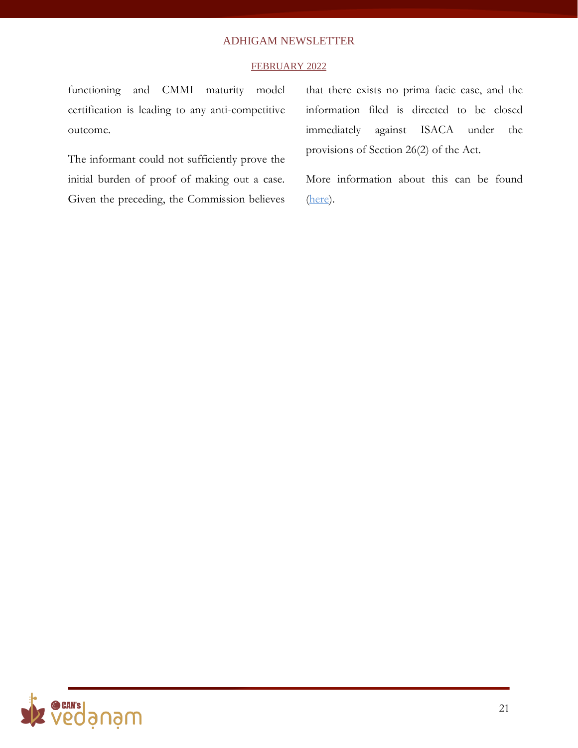### FEBRUARY 2022

functioning and CMMI maturity model certification is leading to any anti-competitive outcome.

The informant could not sufficiently prove the initial burden of proof of making out a case. Given the preceding, the Commission believes

that there exists no prima facie case, and the information filed is directed to be closed immediately against ISACA under the provisions of Section 26(2) of the Act.

More information about this can be found [\(here\)](https://www.cci.gov.in/sites/default/files/42-of-2021.pdf).

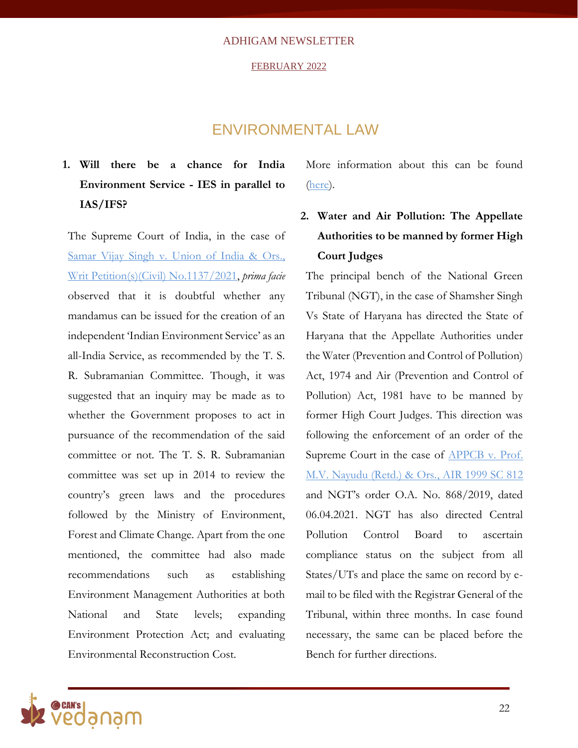#### FEBRUARY 2022

### ENVIRONMENTAL LAW

**1. Will there be a chance for India Environment Service - IES in parallel to IAS/IFS?**

The Supreme Court of India, in the case of Samar Vijay Singh v. [Union of India & Ors.,](https://main.sci.gov.in/supremecourt/2021/24030/24030_2021_36_6_32734_Order_21-Jan-2022.pdf) [Writ Petition\(s\)\(Civil\) No.1137/2021,](https://main.sci.gov.in/supremecourt/2021/24030/24030_2021_36_6_32734_Order_21-Jan-2022.pdf) *prima facie* observed that it is doubtful whether any mandamus can be issued for the creation of an independent 'Indian Environment Service' as an all-India Service, as recommended by the T. S. R. Subramanian Committee. Though, it was suggested that an inquiry may be made as to whether the Government proposes to act in pursuance of the recommendation of the said committee or not. The T. S. R. Subramanian committee was set up in 2014 to review the country's green laws and the procedures followed by the Ministry of Environment, Forest and Climate Change. Apart from the one mentioned, the committee had also made recommendations such as establishing Environment Management Authorities at both National and State levels; expanding Environment Protection Act; and evaluating Environmental Reconstruction Cost.

More information about this can be found [\(here\)](https://main.sci.gov.in/supremecourt/2021/24030/24030_2021_36_6_32734_Order_21-Jan-2022.pdf).

### **2. Water and Air Pollution: The Appellate Authorities to be manned by former High Court Judges**

The principal bench of the National Green Tribunal (NGT), in the case of Shamsher Singh Vs State of Haryana has directed the State of Haryana that the Appellate Authorities under the Water (Prevention and Control of Pollution) Act, 1974 and Air (Prevention and Control of Pollution) Act, 1981 have to be manned by former High Court Judges. This direction was following the enforcement of an order of the Supreme Court in the case of **APPCB** v. Prof. [M.V. Nayudu \(Retd.\) & Ors., AIR 1999 SC 812](https://indiankanoon.org/doc/764031/) and NGT's order O.A. No. 868/2019, dated 06.04.2021. NGT has also directed Central Pollution Control Board to ascertain compliance status on the subject from all States/UTs and place the same on record by email to be filed with the Registrar General of the Tribunal, within three months. In case found necessary, the same can be placed before the Bench for further directions.

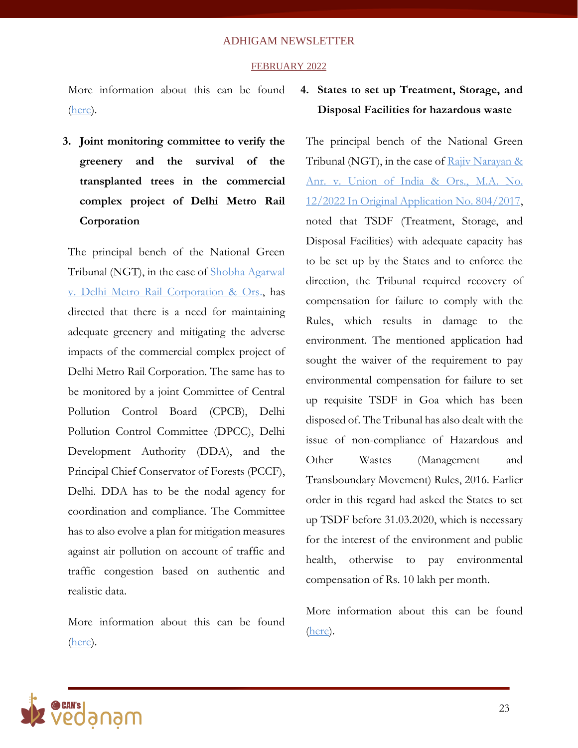### FEBRUARY 2022

More information about this can be found [\(here\)](https://greentribunal.gov.in/gen_pdf_test.php?filepath=L25ndF9kb2N1bWVudHMvbmd0L2Nhc2Vkb2MvanVkZ2VtZW50cy9ERUxISS8yMDIyLTAyLTIzLzE2NDU2OTYyMjY1NDI1MjMyMTU2MjE3NTRlMjBhZjAyLnBkZg==).

**3. Joint monitoring committee to verify the greenery and the survival of the transplanted trees in the commercial complex project of Delhi Metro Rail Corporation**

The principal bench of the National Green Tribunal (NGT), in the case of [Shobha Agarwal](https://greentribunal.gov.in/sites/default/files/news_updates/REPORT%20BY%20CPCB%20IN%20OA%20NO.%20651%20of%202019%20(Residents%20of%20Delhi%20through%20Shobha%20Agarwal%20Vs.%20Delhi%20Metro%20Rail%20Corporation%20&Ors.).pdf)  v. [Delhi Metro Rail Corporation & Ors.](https://greentribunal.gov.in/sites/default/files/news_updates/REPORT%20BY%20CPCB%20IN%20OA%20NO.%20651%20of%202019%20(Residents%20of%20Delhi%20through%20Shobha%20Agarwal%20Vs.%20Delhi%20Metro%20Rail%20Corporation%20&Ors.).pdf), has directed that there is a need for maintaining adequate greenery and mitigating the adverse impacts of the commercial complex project of Delhi Metro Rail Corporation. The same has to be monitored by a joint Committee of Central Pollution Control Board (CPCB), Delhi Pollution Control Committee (DPCC), Delhi Development Authority (DDA), and the Principal Chief Conservator of Forests (PCCF), Delhi. DDA has to be the nodal agency for coordination and compliance. The Committee has to also evolve a plan for mitigation measures against air pollution on account of traffic and traffic congestion based on authentic and realistic data.

More information about this can be found [\(here\)](https://greentribunal.gov.in/gen_pdf_test.php?filepath=L25ndF9kb2N1bWVudHMvbmd0L2Nhc2Vkb2MvanVkZ2VtZW50cy9ERUxISS8yMDIyLTAyLTIzLzE2NDU2OTYyOTcxNzE2Mjk2ODExNjIxNzU1Mjk5NmNhYy5wZGY=).

### **4. States to set up Treatment, Storage, and Disposal Facilities for hazardous waste**

The principal bench of the National Green Tribunal (NGT), in the case of Rajiv Narayan & Anr. v. [Union of India & Ors.,](https://greentribunal.gov.in/gen_pdf_test.php?filepath=L25ndF9kb2N1bWVudHMvbmd0L2Nhc2Vkb2MvanVkZ2VtZW50cy9ERUxISS8yMDIyLTAyLTIzLzE2NDU2OTY0MjcxMDY0MjE3MDY5NjIxNzU1YWJiZTBkZC5wZGY=) M.A. No. [12/2022 In Original Application No. 804/2017,](https://greentribunal.gov.in/gen_pdf_test.php?filepath=L25ndF9kb2N1bWVudHMvbmd0L2Nhc2Vkb2MvanVkZ2VtZW50cy9ERUxISS8yMDIyLTAyLTIzLzE2NDU2OTY0MjcxMDY0MjE3MDY5NjIxNzU1YWJiZTBkZC5wZGY=) noted that TSDF [\(Treatment, Storage, and](http://cpcbenvis.nic.in/tsdf.html)  [Disposal Facilities\)](http://cpcbenvis.nic.in/tsdf.html) with adequate capacity has to be set up by the States and to enforce the direction, the Tribunal required recovery of compensation for failure to comply with the Rules, which results in damage to the environment. The mentioned application had sought the waiver of the requirement to pay environmental compensation for failure to set up requisite TSDF in Goa which has been disposed of. The Tribunal has also dealt with the issue of non-compliance of Hazardous and Other Wastes (Management and Transboundary Movement) Rules, 2016. Earlier order in this regard had asked the States to set up TSDF before 31.03.2020, which is necessary for the interest of the environment and public health, otherwise to pay environmental compensation of Rs. 10 lakh per month.

More information about this can be found [\(here\)](https://greentribunal.gov.in/gen_pdf_test.php?filepath=L25ndF9kb2N1bWVudHMvbmd0L2Nhc2Vkb2MvanVkZ2VtZW50cy9ERUxISS8yMDIyLTAyLTIzLzE2NDU2OTY0MjcxMDY0MjE3MDY5NjIxNzU1YWJiZTBkZC5wZGY=).

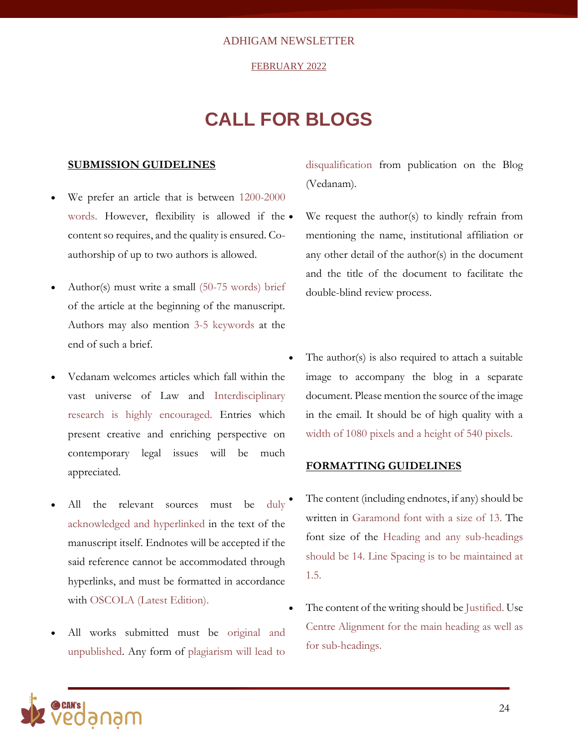#### FEBRUARY 2022

## **CALL FOR BLOGS**

### **SUBMISSION GUIDELINES**

- We prefer an article that is between 1200-2000 words. However, flexibility is allowed if the  $\bullet$ content so requires, and the quality is ensured. Coauthorship of up to two authors is allowed.
- Author(s) must write a small (50-75 words) brief of the article at the beginning of the manuscript. Authors may also mention 3-5 keywords at the end of such a brief.
- Vedanam welcomes articles which fall within the vast universe of Law and Interdisciplinary research is highly encouraged. Entries which present creative and enriching perspective on contemporary legal issues will be much appreciated.
- All the relevant sources must be duly acknowledged and hyperlinked in the text of the manuscript itself. Endnotes will be accepted if the said reference cannot be accommodated through hyperlinks, and must be formatted in accordance with OSCOLA (Latest Edition).
- All works submitted must be original and unpublished. Any form of plagiarism will lead to

disqualification from publication on the Blog (Vedanam).

We request the author(s) to kindly refrain from mentioning the name, institutional affiliation or any other detail of the author(s) in the document and the title of the document to facilitate the double-blind review process.

• The author(s) is also required to attach a suitable image to accompany the blog in a separate document. Please mention the source of the image in the email. It should be of high quality with a width of 1080 pixels and a height of 540 pixels.

### **FORMATTING GUIDELINES**

- The content (including endnotes, if any) should be written in Garamond font with a size of 13. The font size of the Heading and any sub-headings should be 14. Line Spacing is to be maintained at 1.5.
- The content of the writing should be Justified. Use Centre Alignment for the main heading as well as for sub-headings.

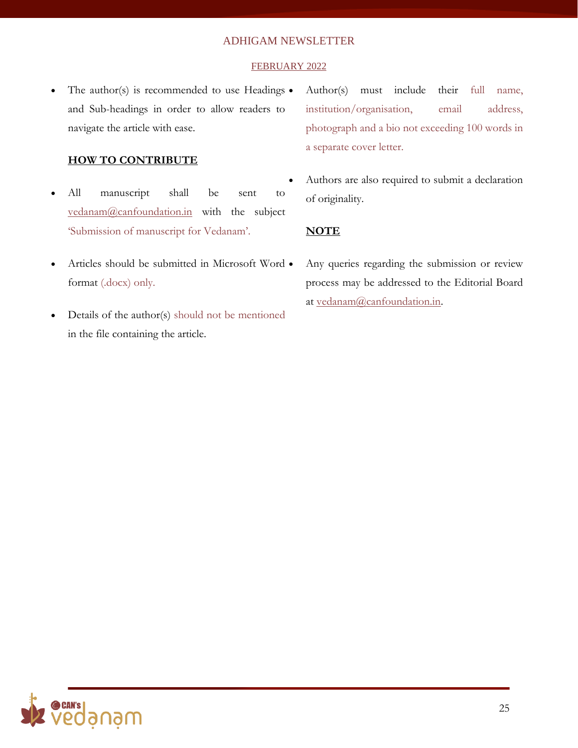### FEBRUARY 2022

The author(s) is recommended to use Headings  $\bullet$ and Sub-headings in order to allow readers to navigate the article with ease.

### **HOW TO CONTRIBUTE**

- All manuscript shall be sent to [vedanam@canfoundation.in](mailto:vedanam@canfoundation.in) with the subject 'Submission of manuscript for Vedanam'.
- Articles should be submitted in Microsoft Word format (.docx) only.
- Details of the author(s) should not be mentioned in the file containing the article.
- Author(s) must include their full name, institution/organisation, email address, photograph and a bio not exceeding 100 words in a separate cover letter.
- Authors are also required to submit a declaration of originality.

### **NOTE**

Any queries regarding the submission or review process may be addressed to the Editorial Board at [vedanam@canfoundation.in.](mailto:vedanam@canfoundation.in)